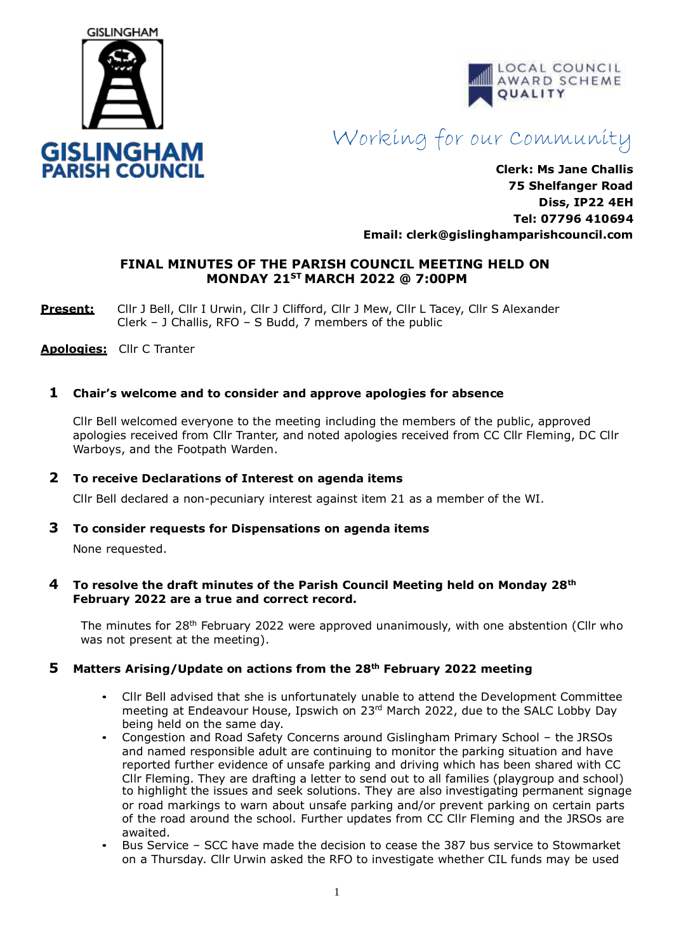



# Working for our Community

**Clerk: Ms Jane Challis 75 Shelfanger Road Diss, IP22 4EH Tel: 07796 410694 Email: cler[k@gislinghamparishcouncil.com](mailto:gislinghamparishcouncil@gmail.com)**

# **FINAL MINUTES OF THE PARISH COUNCIL MEETING HELD ON MONDAY 21ST MARCH 2022 @ 7:00PM**

Present: Cllr J Bell, Cllr I Urwin, Cllr J Clifford, Cllr J Mew, Cllr L Tacey, Cllr S Alexander Clerk – J Challis, RFO – S Budd, 7 members of the public

**Apologies:** Cllr C Tranter

# **1 Chair's welcome and to consider and approve apologies for absence**

Cllr Bell welcomed everyone to the meeting including the members of the public, approved apologies received from Cllr Tranter, and noted apologies received from CC Cllr Fleming, DC Cllr Warboys, and the Footpath Warden.

#### **2 To receive Declarations of Interest on agenda items**

Cllr Bell declared a non-pecuniary interest against item 21 as a member of the WI.

#### **3 To consider requests for Dispensations on agenda items**

None requested.

#### **4 To resolve the draft minutes of the Parish Council Meeting held on Monday 28th February 2022 are a true and correct record.**

The minutes for 28<sup>th</sup> February 2022 were approved unanimously, with one abstention (Cllr who was not present at the meeting).

#### **5 Matters Arising/Update on actions from the 28th February 2022 meeting**

- Cllr Bell advised that she is unfortunately unable to attend the Development Committee meeting at Endeavour House, Ipswich on 23<sup>rd</sup> March 2022, due to the SALC Lobby Day being held on the same day.
- Congestion and Road Safety Concerns around Gislingham Primary School the JRSOs and named responsible adult are continuing to monitor the parking situation and have reported further evidence of unsafe parking and driving which has been shared with CC Cllr Fleming. They are drafting a letter to send out to all families (playgroup and school) to highlight the issues and seek solutions. They are also investigating permanent signage or road markings to warn about unsafe parking and/or prevent parking on certain parts of the road around the school. Further updates from CC Cllr Fleming and the JRSOs are awaited.
- Bus Service SCC have made the decision to cease the 387 bus service to Stowmarket on a Thursday. Cllr Urwin asked the RFO to investigate whether CIL funds may be used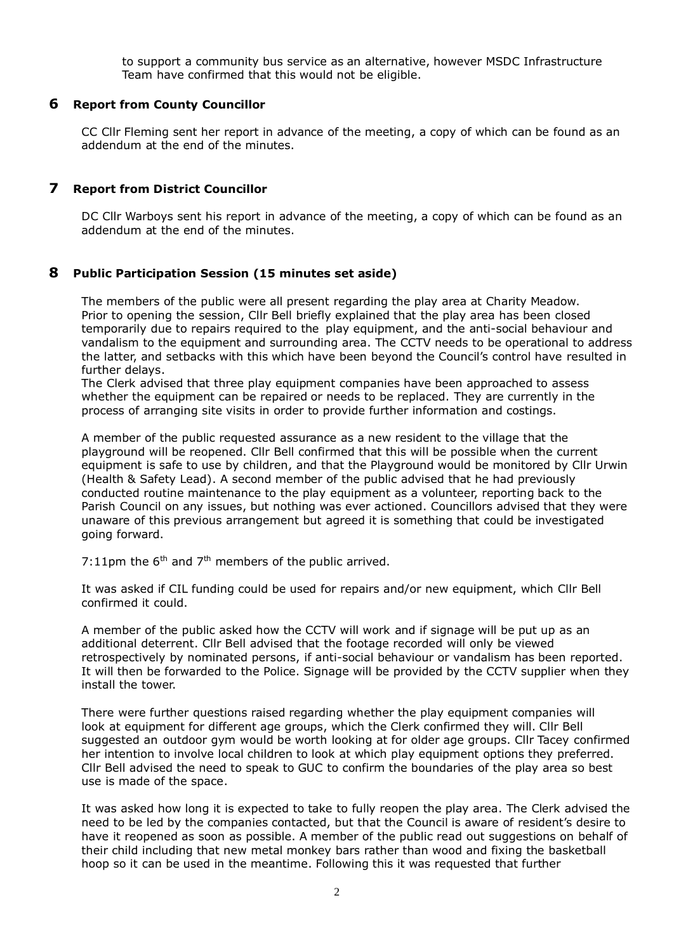to support a community bus service as an alternative, however MSDC Infrastructure Team have confirmed that this would not be eligible.

#### **6 Report from County Councillor**

CC Cllr Fleming sent her report in advance of the meeting, a copy of which can be found as an addendum at the end of the minutes.

#### **7 Report from District Councillor**

DC Cllr Warboys sent his report in advance of the meeting, a copy of which can be found as an addendum at the end of the minutes.

#### **8 Public Participation Session (15 minutes set aside)**

The members of the public were all present regarding the play area at Charity Meadow. Prior to opening the session, Cllr Bell briefly explained that the play area has been closed temporarily due to repairs required to the play equipment, and the anti-social behaviour and vandalism to the equipment and surrounding area. The CCTV needs to be operational to address the latter, and setbacks with this which have been beyond the Council's control have resulted in further delays.

The Clerk advised that three play equipment companies have been approached to assess whether the equipment can be repaired or needs to be replaced. They are currently in the process of arranging site visits in order to provide further information and costings.

A member of the public requested assurance as a new resident to the village that the playground will be reopened. Cllr Bell confirmed that this will be possible when the current equipment is safe to use by children, and that the Playground would be monitored by Cllr Urwin (Health & Safety Lead). A second member of the public advised that he had previously conducted routine maintenance to the play equipment as a volunteer, reporting back to the Parish Council on any issues, but nothing was ever actioned. Councillors advised that they were unaware of this previous arrangement but agreed it is something that could be investigated going forward.

7:11pm the  $6<sup>th</sup>$  and  $7<sup>th</sup>$  members of the public arrived.

It was asked if CIL funding could be used for repairs and/or new equipment, which Cllr Bell confirmed it could.

A member of the public asked how the CCTV will work and if signage will be put up as an additional deterrent. Cllr Bell advised that the footage recorded will only be viewed retrospectively by nominated persons, if anti-social behaviour or vandalism has been reported. It will then be forwarded to the Police. Signage will be provided by the CCTV supplier when they install the tower.

There were further questions raised regarding whether the play equipment companies will look at equipment for different age groups, which the Clerk confirmed they will. Cllr Bell suggested an outdoor gym would be worth looking at for older age groups. Cllr Tacey confirmed her intention to involve local children to look at which play equipment options they preferred. Cllr Bell advised the need to speak to GUC to confirm the boundaries of the play area so best use is made of the space.

It was asked how long it is expected to take to fully reopen the play area. The Clerk advised the need to be led by the companies contacted, but that the Council is aware of resident's desire to have it reopened as soon as possible. A member of the public read out suggestions on behalf of their child including that new metal monkey bars rather than wood and fixing the basketball hoop so it can be used in the meantime. Following this it was requested that further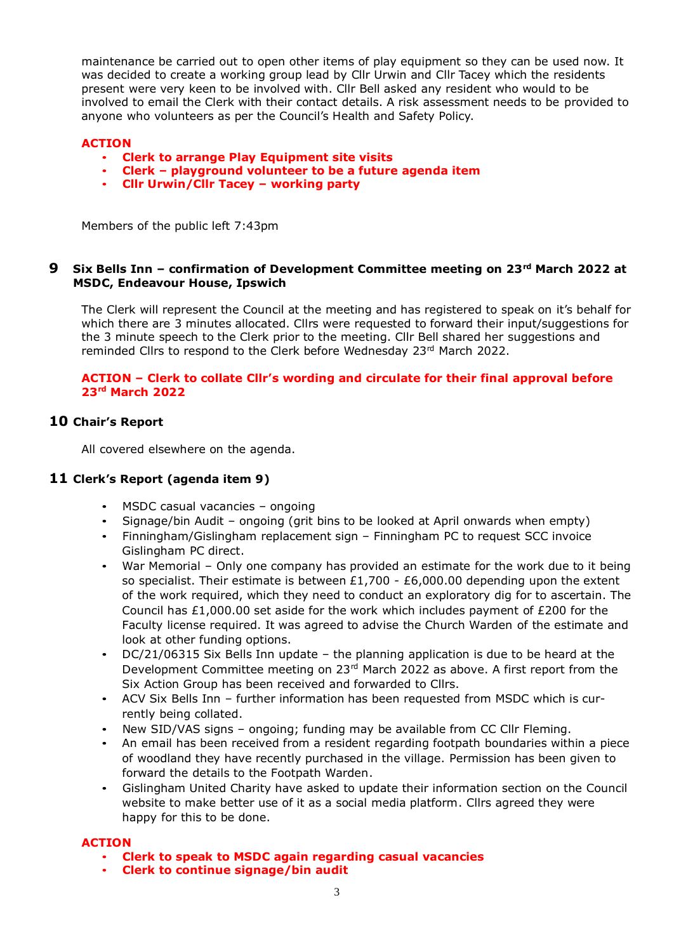maintenance be carried out to open other items of play equipment so they can be used now. It was decided to create a working group lead by Cllr Urwin and Cllr Tacey which the residents present were very keen to be involved with. Cllr Bell asked any resident who would to be involved to email the Clerk with their contact details. A risk assessment needs to be provided to anyone who volunteers as per the Council's Health and Safety Policy.

#### **ACTION**

- **Clerk to arrange Play Equipment site visits**
- **Clerk – playground volunteer to be a future agenda item**
- **Cllr Urwin/Cllr Tacey – working party**

Members of the public left 7:43pm

#### **9 Six Bells Inn – confirmation of Development Committee meeting on 23 rd March 2022 at MSDC, Endeavour House, Ipswich**

The Clerk will represent the Council at the meeting and has registered to speak on it's behalf for which there are 3 minutes allocated. Cllrs were requested to forward their input/suggestions for the 3 minute speech to the Clerk prior to the meeting. Cllr Bell shared her suggestions and reminded Cllrs to respond to the Clerk before Wednesday 23<sup>rd</sup> March 2022.

#### **ACTION – Clerk to collate Cllr's wording and circulate for their final approval before 23rd March 2022**

# **10 Chair's Report**

All covered elsewhere on the agenda.

# **11 Clerk's Report (agenda item 9)**

- MSDC casual vacancies ongoing
- Signage/bin Audit ongoing (grit bins to be looked at April onwards when empty)
- Finningham/Gislingham replacement sign Finningham PC to request SCC invoice Gislingham PC direct.
- War Memorial Only one company has provided an estimate for the work due to it being so specialist. Their estimate is between  $£1,700 - £6,000.00$  depending upon the extent of the work required, which they need to conduct an exploratory dig for to ascertain. The Council has £1,000.00 set aside for the work which includes payment of  $£200$  for the Faculty license required. It was agreed to advise the Church Warden of the estimate and look at other funding options.
- DC/21/06315 Six Bells Inn update the planning application is due to be heard at the Development Committee meeting on 23<sup>rd</sup> March 2022 as above. A first report from the Six Action Group has been received and forwarded to Cllrs.
- ACV Six Bells Inn further information has been requested from MSDC which is currently being collated.
- New SID/VAS signs ongoing; funding may be available from CC Cllr Fleming.
- An email has been received from a resident regarding footpath boundaries within a piece of woodland they have recently purchased in the village. Permission has been given to forward the details to the Footpath Warden.
- Gislingham United Charity have asked to update their information section on the Council website to make better use of it as a social media platform. Cllrs agreed they were happy for this to be done.

#### **ACTION**

- **Clerk to speak to MSDC again regarding casual vacancies**
- **Clerk to continue signage/bin audit**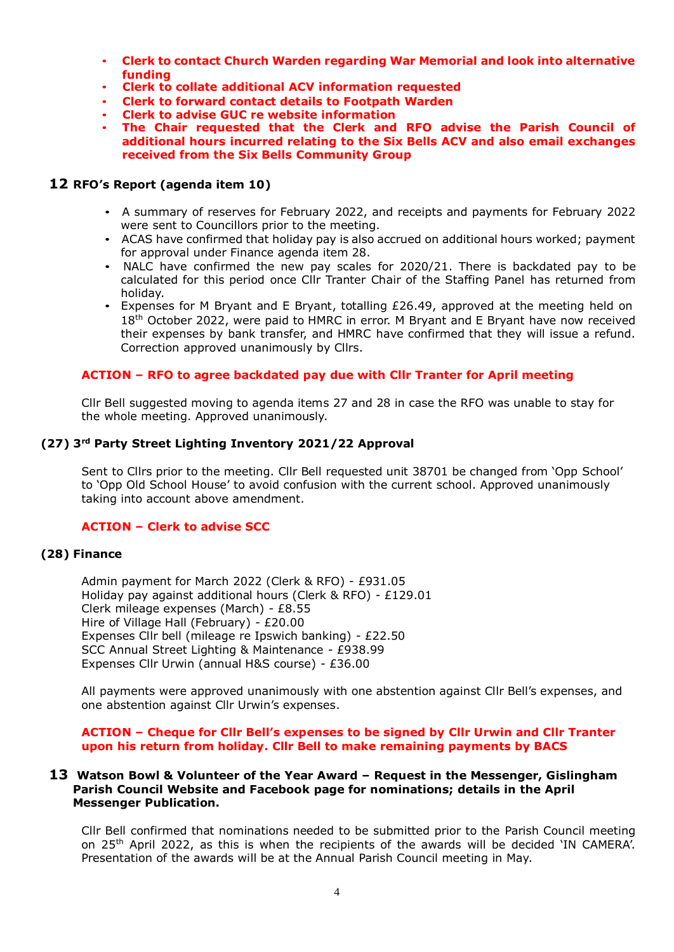- **Clerk to contact Church Warden regarding War Memorial and look into alternative funding**
- **Clerk to collate additional ACV information requested**
- **Clerk to forward contact details to Footpath Warden**
- **Clerk to advise GUC re website information**
- **The Chair requested that the Clerk and RFO advise the Parish Council of additional hours incurred relating to the Six Bells ACV and also email exchanges received from the Six Bells Community Group**

#### **12 RFO's Report (agenda item 10)**

- A summary of reserves for February 2022, and receipts and payments for February 2022 were sent to Councillors prior to the meeting.
- ACAS have confirmed that holiday pay is also accrued on additional hours worked; payment for approval under Finance agenda item 28.
- NALC have confirmed the new pay scales for 2020/21. There is backdated pay to be calculated for this period once Cllr Tranter Chair of the Staffing Panel has returned from holiday.
- Expenses for M Bryant and E Bryant, totalling £26.49, approved at the meeting held on 18<sup>th</sup> October 2022, were paid to HMRC in error. M Bryant and E Bryant have now received their expenses by bank transfer, and HMRC have confirmed that they will issue a refund. Correction approved unanimously by Cllrs.

#### **ACTION – RFO to agree backdated pay due with Cllr Tranter for April meeting**

Cllr Bell suggested moving to agenda items 27 and 28 in case the RFO was unable to stay for the whole meeting. Approved unanimously.

#### **(27) 3 rd Party Street Lighting Inventory 2021/22 Approval**

Sent to Cllrs prior to the meeting. Cllr Bell requested unit 38701 be changed from 'Opp School' to 'Opp Old School House' to avoid confusion with the current school. Approved unanimously taking into account above amendment.

#### **ACTION – Clerk to advise SCC**

#### **(28) Finance**

Admin payment for March 2022 (Clerk & RFO) - £931.05 Holiday pay against additional hours (Clerk & RFO) - £129.01 Clerk mileage expenses (March) - £8.55 Hire of Village Hall (February) - £20.00 Expenses Cllr bell (mileage re Ipswich banking) - £22.50 SCC Annual Street Lighting & Maintenance - £938.99 Expenses Cllr Urwin (annual H&S course) - £36.00

All payments were approved unanimously with one abstention against Cllr Bell's expenses, and one abstention against Cllr Urwin's expenses.

#### **ACTION – Cheque for Cllr Bell's expenses to be signed by Cllr Urwin and Cllr Tranter upon his return from holiday. Cllr Bell to make remaining payments by BACS**

#### **13 Watson Bowl & Volunteer of the Year Award – Request in the Messenger, Gislingham Parish Council Website and Facebook page for nominations; details in the April Messenger Publication.**

Cllr Bell confirmed that nominations needed to be submitted prior to the Parish Council meeting on 25<sup>th</sup> April 2022, as this is when the recipients of the awards will be decided 'IN CAMERA'. Presentation of the awards will be at the Annual Parish Council meeting in May.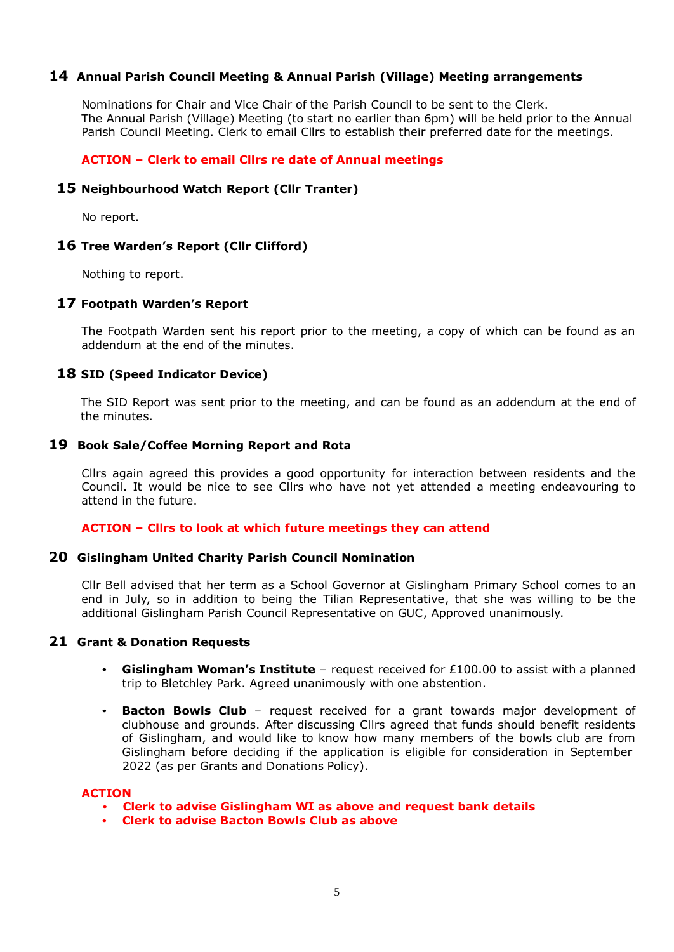#### **14 Annual Parish Council Meeting & Annual Parish (Village) Meeting arrangements**

Nominations for Chair and Vice Chair of the Parish Council to be sent to the Clerk. The Annual Parish (Village) Meeting (to start no earlier than 6pm) will be held prior to the Annual Parish Council Meeting. Clerk to email Cllrs to establish their preferred date for the meetings.

#### **ACTION – Clerk to email Cllrs re date of Annual meetings**

#### **15 Neighbourhood Watch Report (Cllr Tranter)**

No report.

#### **16 Tree Warden's Report (Cllr Clifford)**

Nothing to report.

#### **17 Footpath Warden's Report**

The Footpath Warden sent his report prior to the meeting, a copy of which can be found as an addendum at the end of the minutes.

#### **18 SID (Speed Indicator Device)**

The SID Report was sent prior to the meeting, and can be found as an addendum at the end of the minutes.

#### **19 Book Sale/Coffee Morning Report and Rota**

Cllrs again agreed this provides a good opportunity for interaction between residents and the Council. It would be nice to see Cllrs who have not yet attended a meeting endeavouring to attend in the future.

#### **ACTION – Cllrs to look at which future meetings they can attend**

#### **20 Gislingham United Charity Parish Council Nomination**

Cllr Bell advised that her term as a School Governor at Gislingham Primary School comes to an end in July, so in addition to being the Tilian Representative, that she was willing to be the additional Gislingham Parish Council Representative on GUC, Approved unanimously.

#### **21 Grant & Donation Requests**

- **Gislingham Woman's Institute** request received for £100.00 to assist with a planned trip to Bletchley Park. Agreed unanimously with one abstention.
- **Bacton Bowls Club** request received for a grant towards major development of clubhouse and grounds. After discussing Cllrs agreed that funds should benefit residents of Gislingham, and would like to know how many members of the bowls club are from Gislingham before deciding if the application is eligible for consideration in September 2022 (as per Grants and Donations Policy).

#### **ACTION**

- **Clerk to advise Gislingham WI as above and request bank details**
- **Clerk to advise Bacton Bowls Club as above**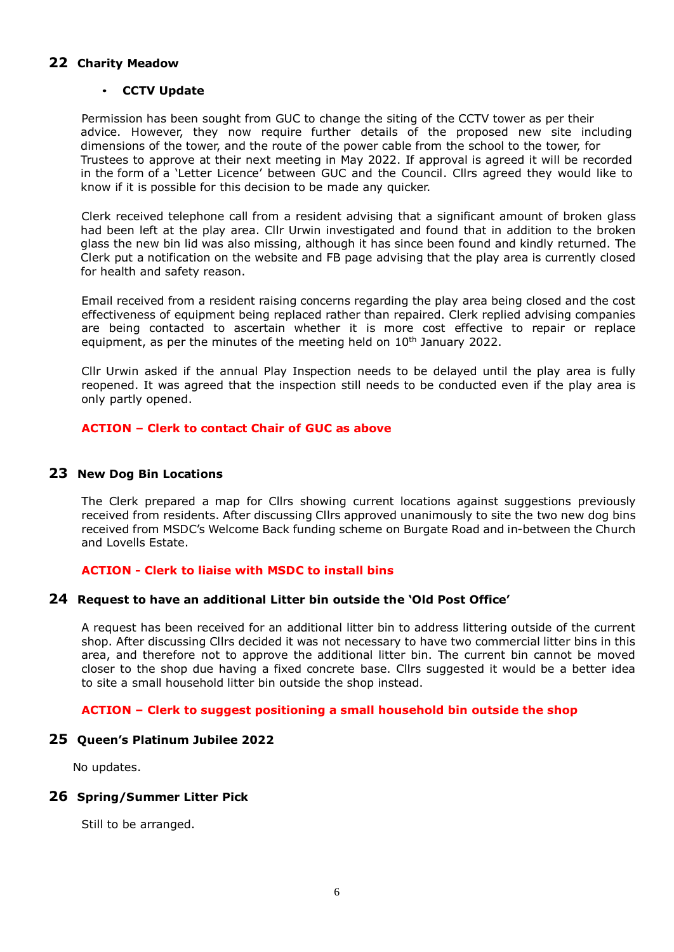# **22 Charity Meadow**

#### • **CCTV Update**

Permission has been sought from GUC to change the siting of the CCTV tower as per their advice. However, they now require further details of the proposed new site including dimensions of the tower, and the route of the power cable from the school to the tower, for Trustees to approve at their next meeting in May 2022. If approval is agreed it will be recorded in the form of a 'Letter Licence' between GUC and the Council. Cllrs agreed they would like to know if it is possible for this decision to be made any quicker.

Clerk received telephone call from a resident advising that a significant amount of broken glass had been left at the play area. Cllr Urwin investigated and found that in addition to the broken glass the new bin lid was also missing, although it has since been found and kindly returned. The Clerk put a notification on the website and FB page advising that the play area is currently closed for health and safety reason.

Email received from a resident raising concerns regarding the play area being closed and the cost effectiveness of equipment being replaced rather than repaired. Clerk replied advising companies are being contacted to ascertain whether it is more cost effective to repair or replace equipment, as per the minutes of the meeting held on 10<sup>th</sup> January 2022.

Cllr Urwin asked if the annual Play Inspection needs to be delayed until the play area is fully reopened. It was agreed that the inspection still needs to be conducted even if the play area is only partly opened.

#### **ACTION – Clerk to contact Chair of GUC as above**

#### **23 New Dog Bin Locations**

The Clerk prepared a map for Cllrs showing current locations against suggestions previously received from residents. After discussing Cllrs approved unanimously to site the two new dog bins received from MSDC's Welcome Back funding scheme on Burgate Road and in-between the Church and Lovells Estate.

#### **ACTION - Clerk to liaise with MSDC to install bins**

#### **24 Request to have an additional Litter bin outside the 'Old Post Office'**

A request has been received for an additional litter bin to address littering outside of the current shop. After discussing Cllrs decided it was not necessary to have two commercial litter bins in this area, and therefore not to approve the additional litter bin. The current bin cannot be moved closer to the shop due having a fixed concrete base. Cllrs suggested it would be a better idea to site a small household litter bin outside the shop instead.

#### **ACTION – Clerk to suggest positioning a small household bin outside the shop**

#### **25 Queen's Platinum Jubilee 2022**

No updates.

#### **26 Spring/Summer Litter Pick**

Still to be arranged.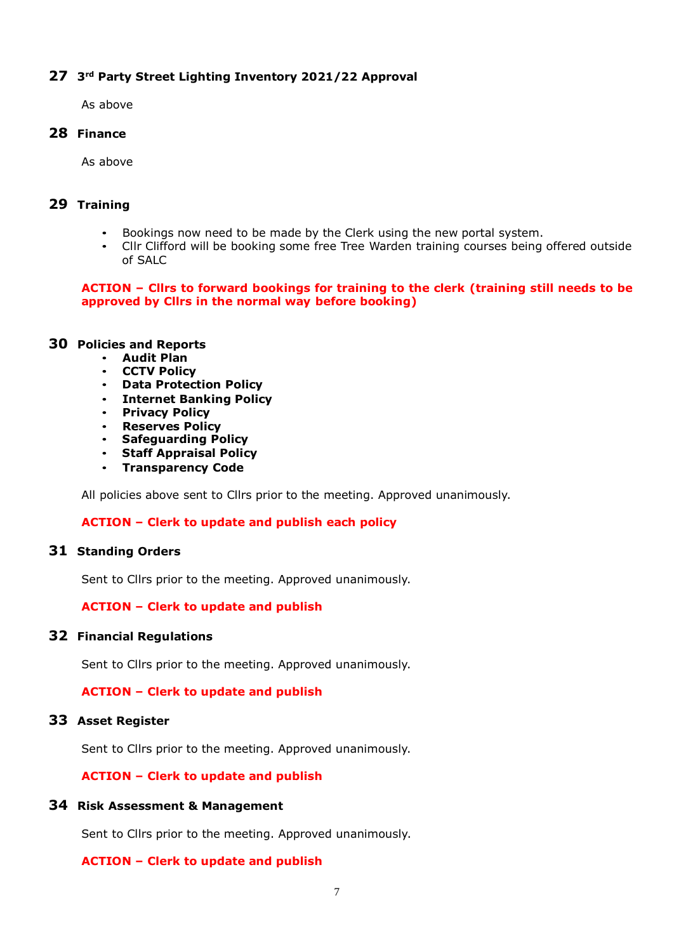# **27 3 rd Party Street Lighting Inventory 2021/22 Approval**

As above

# **28 Finance**

As above

# **29 Training**

- Bookings now need to be made by the Clerk using the new portal system.
- Cllr Clifford will be booking some free Tree Warden training courses being offered outside of SALC

# **ACTION – Cllrs to forward bookings for training to the clerk (training still needs to be approved by Cllrs in the normal way before booking)**

#### **30 Policies and Reports**

- **Audit Plan**
- **CCTV Policy**
- **Data Protection Policy**
- **Internet Banking Policy**
- **Privacy Policy**
- **Reserves Policy**
- **Safeguarding Policy**
- **Staff Appraisal Policy**
- **Transparency Code**

All policies above sent to Cllrs prior to the meeting. Approved unanimously.

# **ACTION – Clerk to update and publish each policy**

# **31 Standing Orders**

Sent to Cllrs prior to the meeting. Approved unanimously.

# **ACTION – Clerk to update and publish**

# **32 Financial Regulations**

Sent to Cllrs prior to the meeting. Approved unanimously.

# **ACTION – Clerk to update and publish**

#### **33 Asset Register**

Sent to Cllrs prior to the meeting. Approved unanimously.

# **ACTION – Clerk to update and publish**

#### **34 Risk Assessment & Management**

Sent to Cllrs prior to the meeting. Approved unanimously.

# **ACTION – Clerk to update and publish**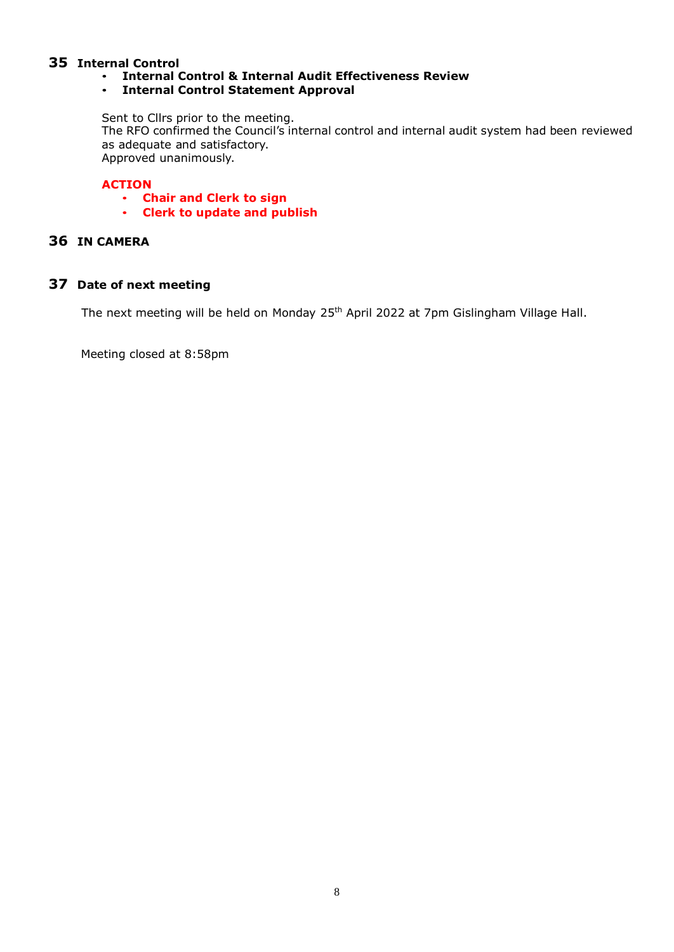# **35 Internal Control**

• **Internal Control & Internal Audit Effectiveness Review**

# • **Internal Control Statement Approval**

Sent to Cllrs prior to the meeting.

The RFO confirmed the Council's internal control and internal audit system had been reviewed as adequate and satisfactory. Approved unanimously.

# **ACTION**

- **Chair and Clerk to sign**
- **Clerk to update and publish**

# **36 IN CAMERA**

# **37 Date of next meeting**

The next meeting will be held on Monday 25<sup>th</sup> April 2022 at 7pm Gislingham Village Hall.

Meeting closed at 8:58pm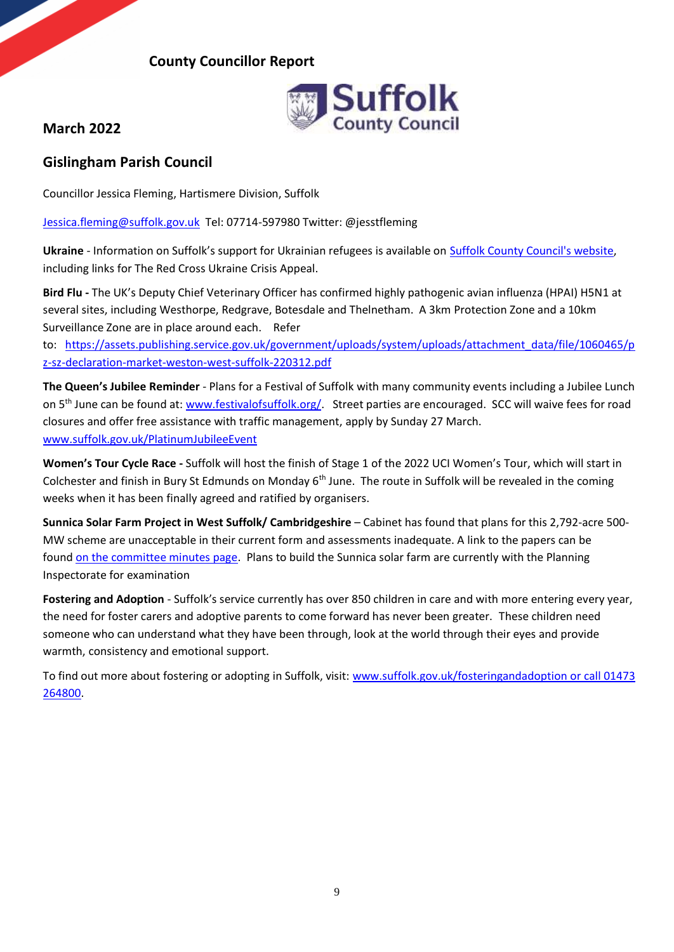# **County Councillor Report**



# **March 2022**

# **Gislingham Parish Council**

Councillor Jessica Fleming, Hartismere Division, Suffolk

[Jessica.fleming@suffolk.gov.uk](mailto:Jessica.fleming@suffolk.gov.uk) Tel: 07714-597980 Twitter: @jesstfleming

Ukraine - Information on Suffolk's support for Ukrainian refugees is available on **Suffolk County Council's website**, including links for The Red Cross Ukraine Crisis Appeal.

**Bird Flu -** The UK's Deputy Chief Veterinary Officer has confirmed highly pathogenic avian influenza (HPAI) H5N1 at several sites, including Westhorpe, Redgrave, Botesdale and Thelnetham. A 3km Protection Zone and a 10km Surveillance Zone are in place around each. Refer

to: [https://assets.publishing.service.gov.uk/government/uploads/system/uploads/attachment\\_data/file/1060465/p](https://assets.publishing.service.gov.uk/government/uploads/system/uploads/attachment_data/file/1060465/pz-sz-declaration-market-weston-west-suffolk-220312.pdf) [z-sz-declaration-market-weston-west-suffolk-220312.pdf](https://assets.publishing.service.gov.uk/government/uploads/system/uploads/attachment_data/file/1060465/pz-sz-declaration-market-weston-west-suffolk-220312.pdf) 

**The Queen's Jubilee Reminder** - Plans for a Festival of Suffolk with many community events including a Jubilee Lunch on 5<sup>th</sup> June can be found at: [www.festivalofsuffolk.org/.](http://www.festivalofsuffolk.org/) Street parties are encouraged. SCC will waive fees for road closures and offer free assistance with traffic management, apply by Sunday 27 March. [www.suffolk.gov.uk/PlatinumJubileeEvent](https://www.suffolk.gov.uk/roads-and-transport/roadworks/apply-for-a-queens-platinum-jubilee-street-party-or-other-public-event/)

**Women's Tour Cycle Race -** Suffolk will host the finish of Stage 1 of the 2022 UCI Women's Tour, which will start in Colchester and finish in Bury St Edmunds on Monday  $6<sup>th</sup>$  June. The route in Suffolk will be revealed in the coming weeks when it has been finally agreed and ratified by organisers.

**Sunnica Solar Farm Project in West Suffolk/ Cambridgeshire** – Cabinet has found that plans for this 2,792-acre 500- MW scheme are unacceptable in their current form and assessments inadequate. A link to the papers can be found [on the committee minutes page.](https://committeeminutes.suffolk.gov.uk/DocSetPage.aspx?MeetingTitle=(01-03-2022),%20The%20Cabinet) Plans to build the Sunnica solar farm are currently with the Planning Inspectorate for examination

**Fostering and Adoption** - Suffolk's service currently has over 850 children in care and with more entering every year, the need for foster carers and adoptive parents to come forward has never been greater. These children need someone who can understand what they have been through, look at the world through their eyes and provide warmth, consistency and emotional support.

To find out more about fostering or adopting in Suffolk, visit: [www.suffolk.gov.uk/fosteringandadoption](http://www.suffolk.gov.uk/fosteringandadoption or%20call 01473%20264800) or call 01473 [264800.](http://www.suffolk.gov.uk/fosteringandadoption or%20call 01473%20264800)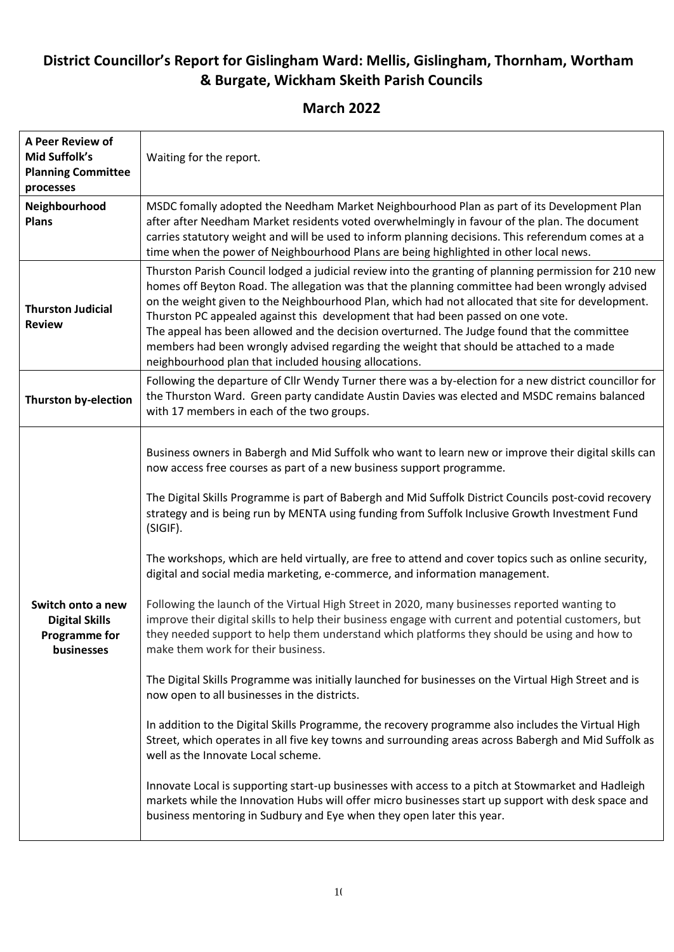# **District Councillor's Report for Gislingham Ward: Mellis, Gislingham, Thornham, Wortham & Burgate, Wickham Skeith Parish Councils**

**March 2022** 

| Waiting for the report.                                                                                                                                                                                                                                                                                                                                                                                                                                                                                                                                                                                                                                                                                                                                                                                                                                                                                                                                                                                                                                                                                                                                                                                                                                                                                                                                                                                                                                                                                                                                          |
|------------------------------------------------------------------------------------------------------------------------------------------------------------------------------------------------------------------------------------------------------------------------------------------------------------------------------------------------------------------------------------------------------------------------------------------------------------------------------------------------------------------------------------------------------------------------------------------------------------------------------------------------------------------------------------------------------------------------------------------------------------------------------------------------------------------------------------------------------------------------------------------------------------------------------------------------------------------------------------------------------------------------------------------------------------------------------------------------------------------------------------------------------------------------------------------------------------------------------------------------------------------------------------------------------------------------------------------------------------------------------------------------------------------------------------------------------------------------------------------------------------------------------------------------------------------|
| MSDC fomally adopted the Needham Market Neighbourhood Plan as part of its Development Plan<br>after after Needham Market residents voted overwhelmingly in favour of the plan. The document<br>carries statutory weight and will be used to inform planning decisions. This referendum comes at a<br>time when the power of Neighbourhood Plans are being highlighted in other local news.                                                                                                                                                                                                                                                                                                                                                                                                                                                                                                                                                                                                                                                                                                                                                                                                                                                                                                                                                                                                                                                                                                                                                                       |
| Thurston Parish Council lodged a judicial review into the granting of planning permission for 210 new<br>homes off Beyton Road. The allegation was that the planning committee had been wrongly advised<br>on the weight given to the Neighbourhood Plan, which had not allocated that site for development.<br>Thurston PC appealed against this development that had been passed on one vote.<br>The appeal has been allowed and the decision overturned. The Judge found that the committee<br>members had been wrongly advised regarding the weight that should be attached to a made<br>neighbourhood plan that included housing allocations.                                                                                                                                                                                                                                                                                                                                                                                                                                                                                                                                                                                                                                                                                                                                                                                                                                                                                                               |
| Following the departure of Cllr Wendy Turner there was a by-election for a new district councillor for<br>the Thurston Ward. Green party candidate Austin Davies was elected and MSDC remains balanced<br>with 17 members in each of the two groups.                                                                                                                                                                                                                                                                                                                                                                                                                                                                                                                                                                                                                                                                                                                                                                                                                                                                                                                                                                                                                                                                                                                                                                                                                                                                                                             |
| Business owners in Babergh and Mid Suffolk who want to learn new or improve their digital skills can<br>now access free courses as part of a new business support programme.<br>The Digital Skills Programme is part of Babergh and Mid Suffolk District Councils post-covid recovery<br>strategy and is being run by MENTA using funding from Suffolk Inclusive Growth Investment Fund<br>(SIGIF).<br>The workshops, which are held virtually, are free to attend and cover topics such as online security,<br>digital and social media marketing, e-commerce, and information management.<br>Following the launch of the Virtual High Street in 2020, many businesses reported wanting to<br>improve their digital skills to help their business engage with current and potential customers, but<br>they needed support to help them understand which platforms they should be using and how to<br>make them work for their business.<br>The Digital Skills Programme was initially launched for businesses on the Virtual High Street and is<br>now open to all businesses in the districts.<br>In addition to the Digital Skills Programme, the recovery programme also includes the Virtual High<br>Street, which operates in all five key towns and surrounding areas across Babergh and Mid Suffolk as<br>well as the Innovate Local scheme.<br>Innovate Local is supporting start-up businesses with access to a pitch at Stowmarket and Hadleigh<br>markets while the Innovation Hubs will offer micro businesses start up support with desk space and |
| business mentoring in Sudbury and Eye when they open later this year.                                                                                                                                                                                                                                                                                                                                                                                                                                                                                                                                                                                                                                                                                                                                                                                                                                                                                                                                                                                                                                                                                                                                                                                                                                                                                                                                                                                                                                                                                            |
|                                                                                                                                                                                                                                                                                                                                                                                                                                                                                                                                                                                                                                                                                                                                                                                                                                                                                                                                                                                                                                                                                                                                                                                                                                                                                                                                                                                                                                                                                                                                                                  |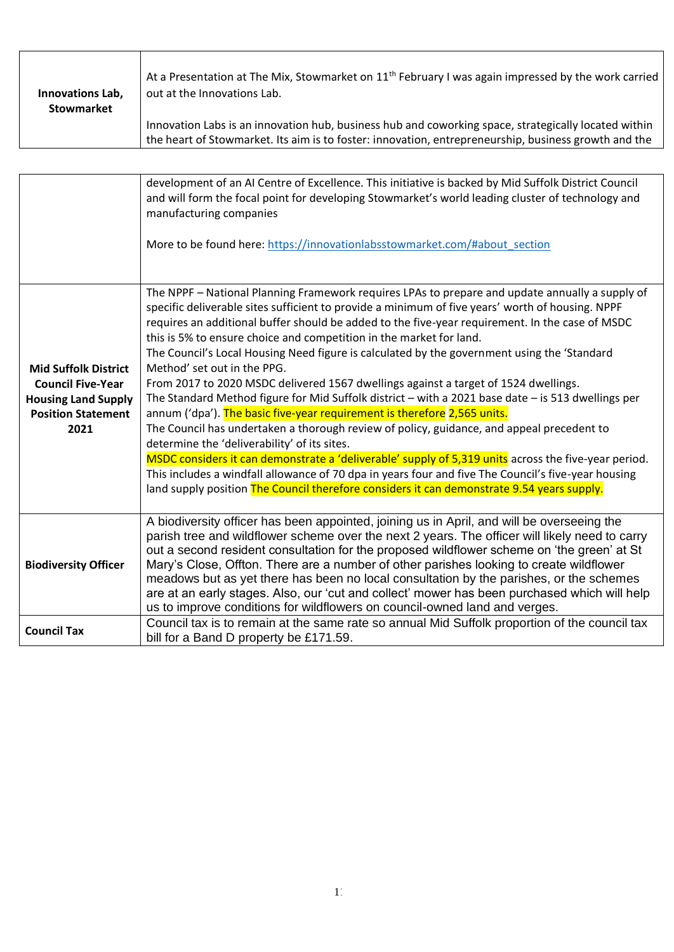| Innovations Lab, | At a Presentation at The Mix, Stowmarket on 11 <sup>th</sup> February I was again impressed by the work carried                                                                                              |
|------------------|--------------------------------------------------------------------------------------------------------------------------------------------------------------------------------------------------------------|
| Stowmarket       | out at the Innovations Lab.                                                                                                                                                                                  |
|                  | Innovation Labs is an innovation hub, business hub and coworking space, strategically located within<br>the heart of Stowmarket. Its aim is to foster: innovation, entrepreneurship, business growth and the |

|                                                                                                                            | development of an AI Centre of Excellence. This initiative is backed by Mid Suffolk District Council<br>and will form the focal point for developing Stowmarket's world leading cluster of technology and<br>manufacturing companies<br>More to be found here: https://innovationlabsstowmarket.com/#about section                                                                                                                                                                                                                                                                                                                                                                                                                                                                                                                                                                                                                                                                                                                                                                                                                                                                                                                             |
|----------------------------------------------------------------------------------------------------------------------------|------------------------------------------------------------------------------------------------------------------------------------------------------------------------------------------------------------------------------------------------------------------------------------------------------------------------------------------------------------------------------------------------------------------------------------------------------------------------------------------------------------------------------------------------------------------------------------------------------------------------------------------------------------------------------------------------------------------------------------------------------------------------------------------------------------------------------------------------------------------------------------------------------------------------------------------------------------------------------------------------------------------------------------------------------------------------------------------------------------------------------------------------------------------------------------------------------------------------------------------------|
|                                                                                                                            |                                                                                                                                                                                                                                                                                                                                                                                                                                                                                                                                                                                                                                                                                                                                                                                                                                                                                                                                                                                                                                                                                                                                                                                                                                                |
| <b>Mid Suffolk District</b><br><b>Council Five-Year</b><br><b>Housing Land Supply</b><br><b>Position Statement</b><br>2021 | The NPPF - National Planning Framework requires LPAs to prepare and update annually a supply of<br>specific deliverable sites sufficient to provide a minimum of five years' worth of housing. NPPF<br>requires an additional buffer should be added to the five-year requirement. In the case of MSDC<br>this is 5% to ensure choice and competition in the market for land.<br>The Council's Local Housing Need figure is calculated by the government using the 'Standard<br>Method' set out in the PPG.<br>From 2017 to 2020 MSDC delivered 1567 dwellings against a target of 1524 dwellings.<br>The Standard Method figure for Mid Suffolk district - with a 2021 base date - is 513 dwellings per<br>annum ('dpa'). The basic five-year requirement is therefore 2,565 units.<br>The Council has undertaken a thorough review of policy, guidance, and appeal precedent to<br>determine the 'deliverability' of its sites.<br>MSDC considers it can demonstrate a 'deliverable' supply of 5,319 units across the five-year period.<br>This includes a windfall allowance of 70 dpa in years four and five The Council's five-year housing<br>land supply position The Council therefore considers it can demonstrate 9.54 years supply. |
| <b>Biodiversity Officer</b>                                                                                                | A biodiversity officer has been appointed, joining us in April, and will be overseeing the<br>parish tree and wildflower scheme over the next 2 years. The officer will likely need to carry<br>out a second resident consultation for the proposed wildflower scheme on 'the green' at St<br>Mary's Close, Offton. There are a number of other parishes looking to create wildflower<br>meadows but as yet there has been no local consultation by the parishes, or the schemes<br>are at an early stages. Also, our 'cut and collect' mower has been purchased which will help<br>us to improve conditions for wildflowers on council-owned land and verges.                                                                                                                                                                                                                                                                                                                                                                                                                                                                                                                                                                                 |
| <b>Council Tax</b>                                                                                                         | Council tax is to remain at the same rate so annual Mid Suffolk proportion of the council tax<br>bill for a Band D property be £171.59.                                                                                                                                                                                                                                                                                                                                                                                                                                                                                                                                                                                                                                                                                                                                                                                                                                                                                                                                                                                                                                                                                                        |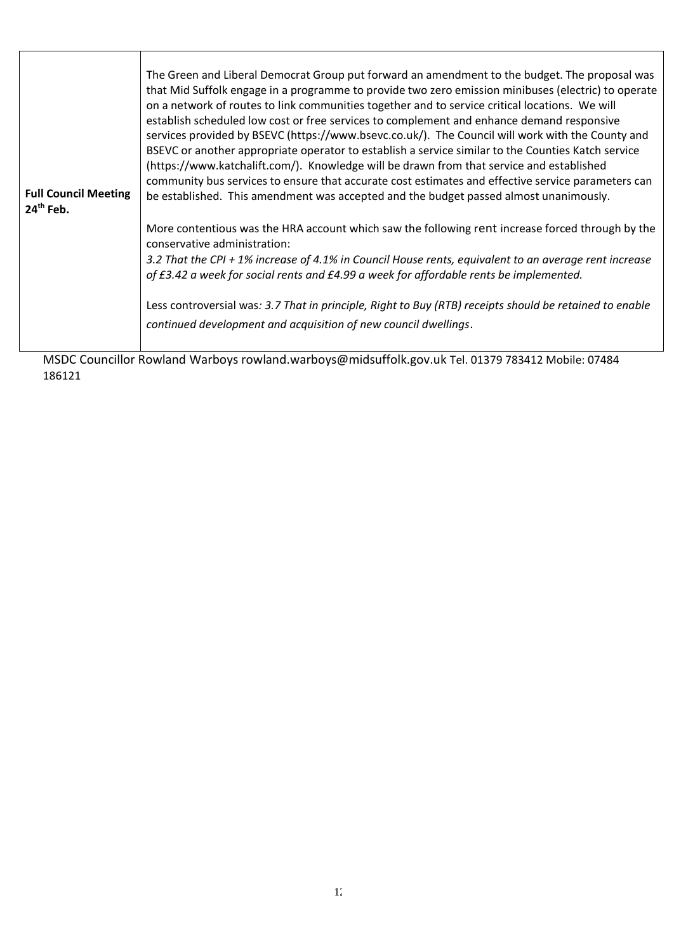| <b>Full Council Meeting</b><br>$24th$ Feb. | The Green and Liberal Democrat Group put forward an amendment to the budget. The proposal was<br>that Mid Suffolk engage in a programme to provide two zero emission minibuses (electric) to operate<br>on a network of routes to link communities together and to service critical locations. We will<br>establish scheduled low cost or free services to complement and enhance demand responsive<br>services provided by BSEVC (https://www.bsevc.co.uk/). The Council will work with the County and<br>BSEVC or another appropriate operator to establish a service similar to the Counties Katch service<br>(https://www.katchalift.com/). Knowledge will be drawn from that service and established<br>community bus services to ensure that accurate cost estimates and effective service parameters can<br>be established. This amendment was accepted and the budget passed almost unanimously. |
|--------------------------------------------|----------------------------------------------------------------------------------------------------------------------------------------------------------------------------------------------------------------------------------------------------------------------------------------------------------------------------------------------------------------------------------------------------------------------------------------------------------------------------------------------------------------------------------------------------------------------------------------------------------------------------------------------------------------------------------------------------------------------------------------------------------------------------------------------------------------------------------------------------------------------------------------------------------|
|                                            | More contentious was the HRA account which saw the following rent increase forced through by the<br>conservative administration:<br>3.2 That the CPI + 1% increase of 4.1% in Council House rents, equivalent to an average rent increase<br>of £3.42 a week for social rents and £4.99 a week for affordable rents be implemented.<br>Less controversial was: 3.7 That in principle, Right to Buy (RTB) receipts should be retained to enable<br>continued development and acquisition of new council dwellings.                                                                                                                                                                                                                                                                                                                                                                                        |

MSDC Councillor Rowland Warboys rowland.warboys@midsuffolk.gov.uk Tel. 01379 783412 Mobile: 07484 186121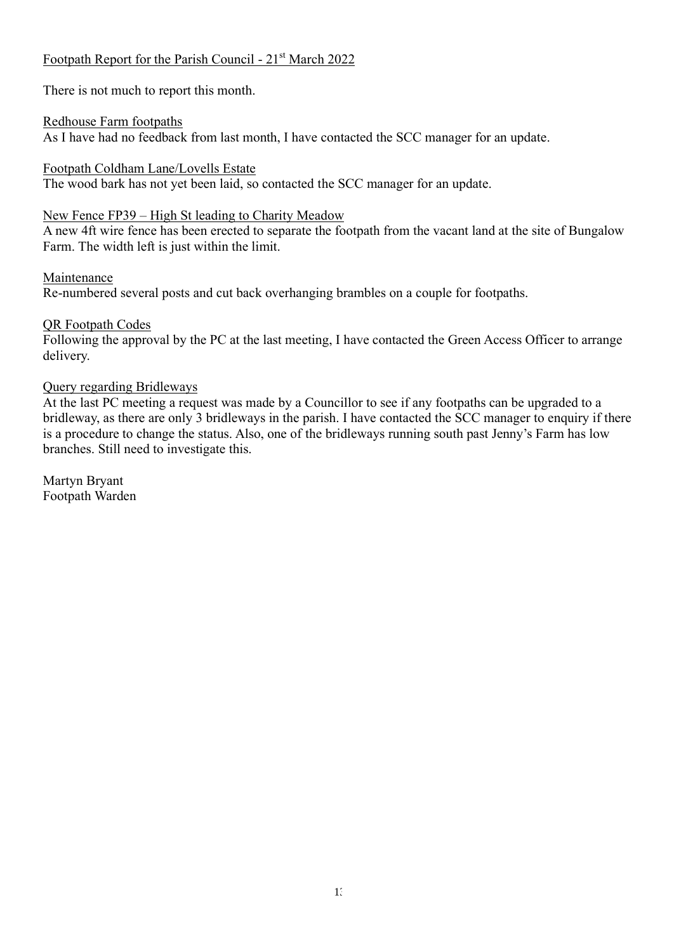# Footpath Report for the Parish Council - 21st March 2022

There is not much to report this month.

Redhouse Farm footpaths As I have had no feedback from last month, I have contacted the SCC manager for an update.

Footpath Coldham Lane/Lovells Estate The wood bark has not yet been laid, so contacted the SCC manager for an update.

# New Fence FP39 – High St leading to Charity Meadow

A new 4ft wire fence has been erected to separate the footpath from the vacant land at the site of Bungalow Farm. The width left is just within the limit.

# Maintenance

Re-numbered several posts and cut back overhanging brambles on a couple for footpaths.

# QR Footpath Codes

Following the approval by the PC at the last meeting, I have contacted the Green Access Officer to arrange delivery.

# Query regarding Bridleways

At the last PC meeting a request was made by a Councillor to see if any footpaths can be upgraded to a bridleway, as there are only 3 bridleways in the parish. I have contacted the SCC manager to enquiry if there is a procedure to change the status. Also, one of the bridleways running south past Jenny's Farm has low branches. Still need to investigate this.

Martyn Bryant Footpath Warden